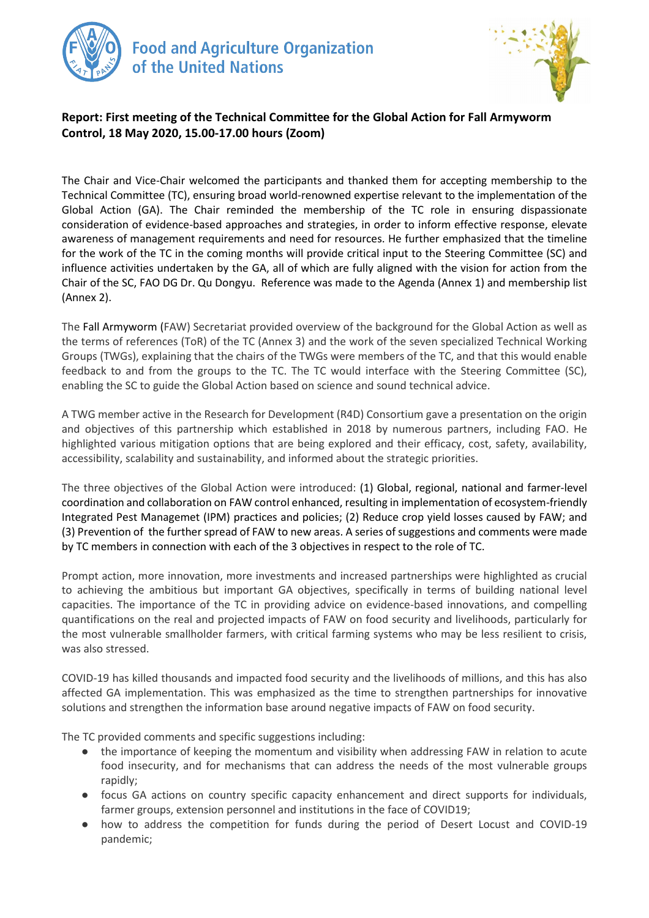



## **Report: First meeting of the Technical Committee for the Global Action for Fall Armyworm Control, 18 May 2020, 15.00-17.00 hours (Zoom)**

The Chair and Vice-Chair welcomed the participants and thanked them for accepting membership to the Technical Committee (TC), ensuring broad world-renowned expertise relevant to the implementation of the Global Action (GA). The Chair reminded the membership of the TC role in ensuring dispassionate consideration of evidence-based approaches and strategies, in order to inform effective response, elevate awareness of management requirements and need for resources. He further emphasized that the timeline for the work of the TC in the coming months will provide critical input to the Steering Committee (SC) and influence activities undertaken by the GA, all of which are fully aligned with the vision for action from the Chair of the SC, FAO DG Dr. Qu Dongyu. Reference was made to the Agenda (Annex 1) and membership list (Annex 2).

The Fall Armyworm (FAW) Secretariat provided overview of the background for the Global Action as well as the terms of references (ToR) of the TC (Annex 3) and the work of the seven specialized Technical Working Groups (TWGs), explaining that the chairs of the TWGs were members of the TC, and that this would enable feedback to and from the groups to the TC. The TC would interface with the Steering Committee (SC), enabling the SC to guide the Global Action based on science and sound technical advice.

A TWG member active in the Research for Development (R4D) Consortium gave a presentation on the origin and objectives of this partnership which established in 2018 by numerous partners, including FAO. He highlighted various mitigation options that are being explored and their efficacy, cost, safety, availability, accessibility, scalability and sustainability, and informed about the strategic priorities.

The three objectives of the Global Action were introduced: (1) Global, regional, national and farmer-level coordination and collaboration on FAW control enhanced, resulting in implementation of ecosystem-friendly Integrated Pest Managemet (IPM) practices and policies; (2) Reduce crop yield losses caused by FAW; and (3) Prevention of the further spread of FAW to new areas. A series of suggestions and comments were made by TC members in connection with each of the 3 objectives in respect to the role of TC.

Prompt action, more innovation, more investments and increased partnerships were highlighted as crucial to achieving the ambitious but important GA objectives, specifically in terms of building national level capacities. The importance of the TC in providing advice on evidence-based innovations, and compelling quantifications on the real and projected impacts of FAW on food security and livelihoods, particularly for the most vulnerable smallholder farmers, with critical farming systems who may be less resilient to crisis, was also stressed.

COVID-19 has killed thousands and impacted food security and the livelihoods of millions, and this has also affected GA implementation. This was emphasized as the time to strengthen partnerships for innovative solutions and strengthen the information base around negative impacts of FAW on food security.

The TC provided comments and specific suggestions including:

- the importance of keeping the momentum and visibility when addressing FAW in relation to acute food insecurity, and for mechanisms that can address the needs of the most vulnerable groups rapidly;
- focus GA actions on country specific capacity enhancement and direct supports for individuals, farmer groups, extension personnel and institutions in the face of COVID19;
- how to address the competition for funds during the period of Desert Locust and COVID-19 pandemic;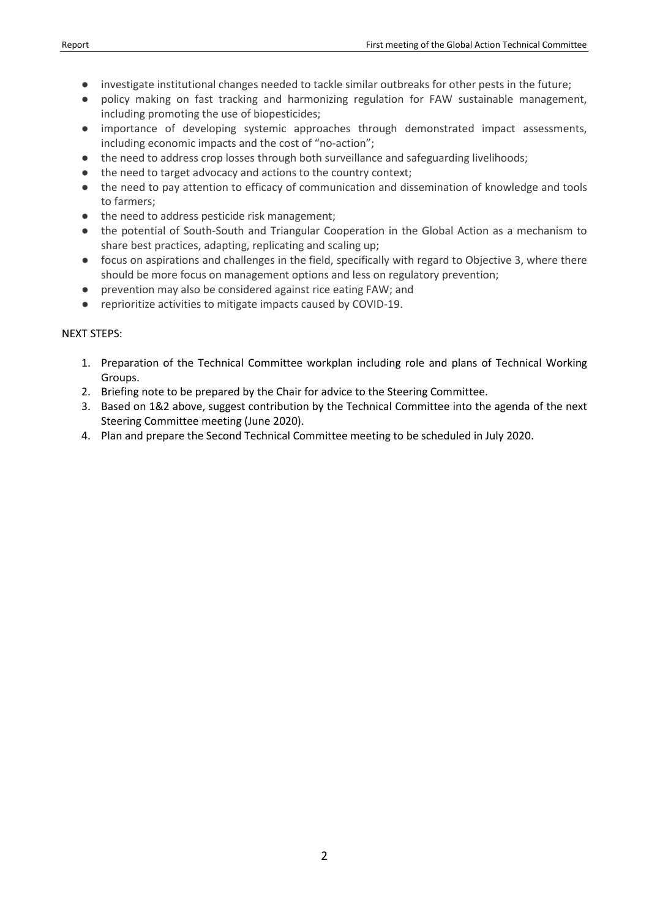- investigate institutional changes needed to tackle similar outbreaks for other pests in the future;
- policy making on fast tracking and harmonizing regulation for FAW sustainable management, including promoting the use of biopesticides;
- importance of developing systemic approaches through demonstrated impact assessments, including economic impacts and the cost of "no-action";
- the need to address crop losses through both surveillance and safeguarding livelihoods;
- the need to target advocacy and actions to the country context;
- the need to pay attention to efficacy of communication and dissemination of knowledge and tools to farmers;
- the need to address pesticide risk management;
- the potential of South-South and Triangular Cooperation in the Global Action as a mechanism to share best practices, adapting, replicating and scaling up;
- focus on aspirations and challenges in the field, specifically with regard to Objective 3, where there should be more focus on management options and less on regulatory prevention;
- prevention may also be considered against rice eating FAW; and
- reprioritize activities to mitigate impacts caused by COVID-19.

## NEXT STEPS:

- 1. Preparation of the Technical Committee workplan including role and plans of Technical Working Groups.
- 2. Briefing note to be prepared by the Chair for advice to the Steering Committee.
- 3. Based on 1&2 above, suggest contribution by the Technical Committee into the agenda of the next Steering Committee meeting (June 2020).
- 4. Plan and prepare the Second Technical Committee meeting to be scheduled in July 2020.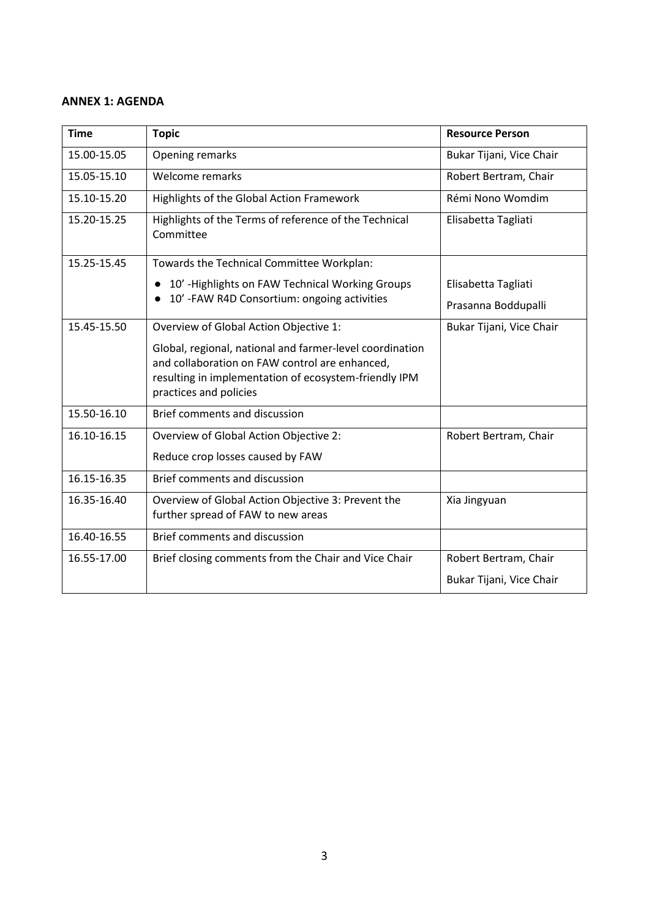#### **ANNEX 1: AGENDA**

| <b>Time</b> | <b>Topic</b>                                                                                                                                                                                  | <b>Resource Person</b>   |
|-------------|-----------------------------------------------------------------------------------------------------------------------------------------------------------------------------------------------|--------------------------|
| 15.00-15.05 | Opening remarks                                                                                                                                                                               | Bukar Tijani, Vice Chair |
| 15.05-15.10 | Welcome remarks                                                                                                                                                                               | Robert Bertram, Chair    |
| 15.10-15.20 | Highlights of the Global Action Framework                                                                                                                                                     | Rémi Nono Womdim         |
| 15.20-15.25 | Highlights of the Terms of reference of the Technical<br>Committee                                                                                                                            | Elisabetta Tagliati      |
| 15.25-15.45 | Towards the Technical Committee Workplan:                                                                                                                                                     |                          |
|             | 10' - Highlights on FAW Technical Working Groups                                                                                                                                              | Elisabetta Tagliati      |
|             | 10'-FAW R4D Consortium: ongoing activities<br>$\bullet$                                                                                                                                       | Prasanna Boddupalli      |
| 15.45-15.50 | Overview of Global Action Objective 1:                                                                                                                                                        | Bukar Tijani, Vice Chair |
|             | Global, regional, national and farmer-level coordination<br>and collaboration on FAW control are enhanced,<br>resulting in implementation of ecosystem-friendly IPM<br>practices and policies |                          |
| 15.50-16.10 | Brief comments and discussion                                                                                                                                                                 |                          |
| 16.10-16.15 | Overview of Global Action Objective 2:                                                                                                                                                        | Robert Bertram, Chair    |
|             | Reduce crop losses caused by FAW                                                                                                                                                              |                          |
| 16.15-16.35 | Brief comments and discussion                                                                                                                                                                 |                          |
| 16.35-16.40 | Overview of Global Action Objective 3: Prevent the<br>further spread of FAW to new areas                                                                                                      | Xia Jingyuan             |
| 16.40-16.55 | Brief comments and discussion                                                                                                                                                                 |                          |
| 16.55-17.00 | Brief closing comments from the Chair and Vice Chair                                                                                                                                          | Robert Bertram, Chair    |
|             |                                                                                                                                                                                               | Bukar Tijani, Vice Chair |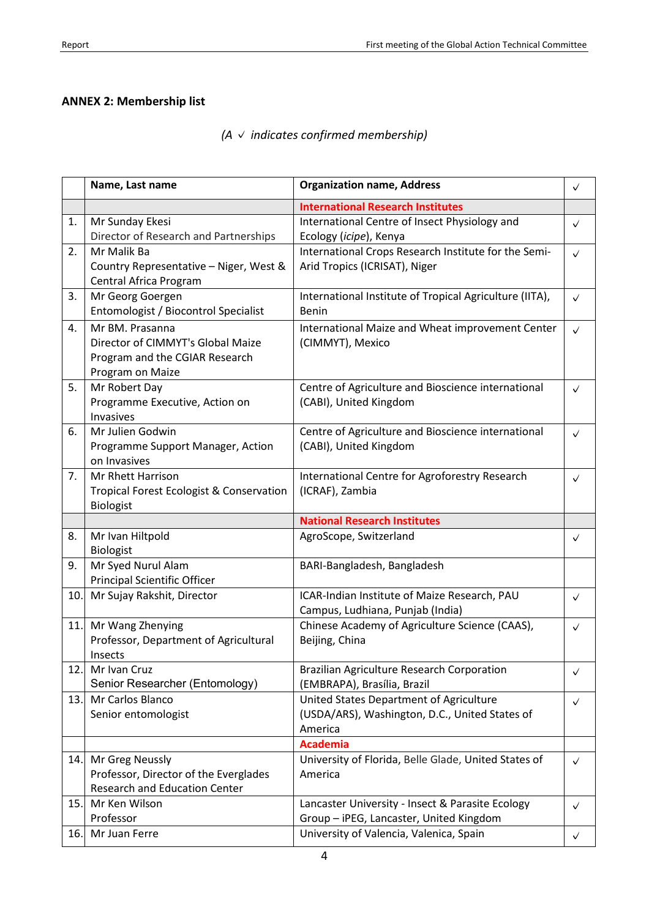# **ANNEX 2: Membership list**

|  |  |  |  | $(A \vee indicates confirmed membership)$ |
|--|--|--|--|-------------------------------------------|
|--|--|--|--|-------------------------------------------|

|     | Name, Last name                                                                                            | <b>Organization name, Address</b>                                                                    | $\checkmark$ |
|-----|------------------------------------------------------------------------------------------------------------|------------------------------------------------------------------------------------------------------|--------------|
|     |                                                                                                            | <b>International Research Institutes</b>                                                             |              |
| 1.  | Mr Sunday Ekesi<br>Director of Research and Partnerships                                                   | International Centre of Insect Physiology and<br>Ecology (icipe), Kenya                              | $\checkmark$ |
| 2.  | Mr Malik Ba<br>Country Representative - Niger, West &<br>Central Africa Program                            | International Crops Research Institute for the Semi-<br>Arid Tropics (ICRISAT), Niger                | $\checkmark$ |
| 3.  | Mr Georg Goergen<br>Entomologist / Biocontrol Specialist                                                   | International Institute of Tropical Agriculture (IITA),<br><b>Benin</b>                              | $\checkmark$ |
| 4.  | Mr BM. Prasanna<br>Director of CIMMYT's Global Maize<br>Program and the CGIAR Research<br>Program on Maize | International Maize and Wheat improvement Center<br>(CIMMYT), Mexico                                 | $\checkmark$ |
| 5.  | Mr Robert Day<br>Programme Executive, Action on<br>Invasives                                               | Centre of Agriculture and Bioscience international<br>(CABI), United Kingdom                         | $\checkmark$ |
| 6.  | Mr Julien Godwin<br>Programme Support Manager, Action<br>on Invasives                                      | Centre of Agriculture and Bioscience international<br>(CABI), United Kingdom                         | $\checkmark$ |
| 7.  | Mr Rhett Harrison<br><b>Tropical Forest Ecologist &amp; Conservation</b><br><b>Biologist</b>               | International Centre for Agroforestry Research<br>(ICRAF), Zambia                                    | $\checkmark$ |
|     |                                                                                                            |                                                                                                      |              |
|     |                                                                                                            | <b>National Research Institutes</b>                                                                  |              |
| 8.  | Mr Ivan Hiltpold<br><b>Biologist</b>                                                                       | AgroScope, Switzerland                                                                               | $\checkmark$ |
| 9.  | Mr Syed Nurul Alam<br>Principal Scientific Officer                                                         | BARI-Bangladesh, Bangladesh                                                                          |              |
| 10. | Mr Sujay Rakshit, Director                                                                                 | ICAR-Indian Institute of Maize Research, PAU<br>Campus, Ludhiana, Punjab (India)                     | $\checkmark$ |
| 11. | Mr Wang Zhenying<br>Professor, Department of Agricultural<br>Insects                                       | Chinese Academy of Agriculture Science (CAAS),<br>Beijing, China                                     | $\checkmark$ |
|     | 12. Mr Ivan Cruz<br>Senior Researcher (Entomology)                                                         | Brazilian Agriculture Research Corporation<br>(EMBRAPA), Brasília, Brazil                            | ✓            |
| 13. | Mr Carlos Blanco<br>Senior entomologist                                                                    | United States Department of Agriculture<br>(USDA/ARS), Washington, D.C., United States of<br>America | $\checkmark$ |
| 14. | Mr Greg Neussly<br>Professor, Director of the Everglades<br><b>Research and Education Center</b>           | <b>Academia</b><br>University of Florida, Belle Glade, United States of<br>America                   | $\checkmark$ |
| 15. | Mr Ken Wilson<br>Professor                                                                                 | Lancaster University - Insect & Parasite Ecology<br>Group - iPEG, Lancaster, United Kingdom          | $\checkmark$ |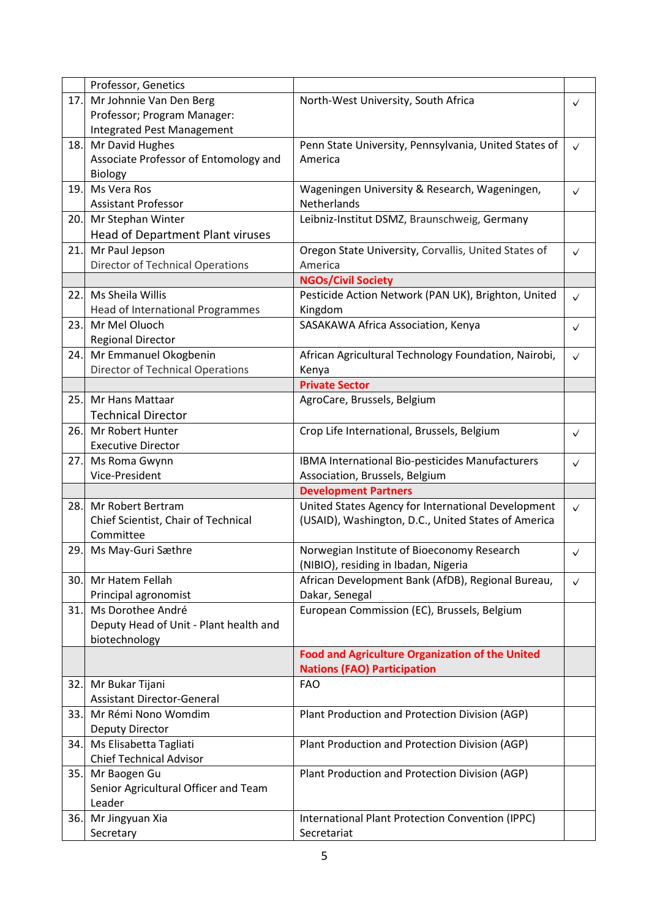|      | Professor, Genetics                     |                                                        |              |
|------|-----------------------------------------|--------------------------------------------------------|--------------|
| 17.  | Mr Johnnie Van Den Berg                 | North-West University, South Africa                    | $\checkmark$ |
|      | Professor; Program Manager:             |                                                        |              |
|      | Integrated Pest Management              |                                                        |              |
| 18.  | Mr David Hughes                         | Penn State University, Pennsylvania, United States of  | $\checkmark$ |
|      | Associate Professor of Entomology and   | America                                                |              |
|      | Biology                                 |                                                        |              |
| 19.  | Ms Vera Ros                             | Wageningen University & Research, Wageningen,          | ✓            |
|      | <b>Assistant Professor</b>              | Netherlands                                            |              |
| 20.  | Mr Stephan Winter                       | Leibniz-Institut DSMZ, Braunschweig, Germany           |              |
|      | Head of Department Plant viruses        |                                                        |              |
| 21.  | Mr Paul Jepson                          | Oregon State University, Corvallis, United States of   | $\checkmark$ |
|      | <b>Director of Technical Operations</b> | America                                                |              |
|      |                                         | <b>NGOs/Civil Society</b>                              |              |
| 22.1 | Ms Sheila Willis                        | Pesticide Action Network (PAN UK), Brighton, United    | $\checkmark$ |
|      | Head of International Programmes        | Kingdom                                                |              |
| 23.  | Mr Mel Oluoch                           | SASAKAWA Africa Association, Kenya                     | $\checkmark$ |
|      | <b>Regional Director</b>                |                                                        |              |
| 24.  | Mr Emmanuel Okogbenin                   | African Agricultural Technology Foundation, Nairobi,   |              |
|      | <b>Director of Technical Operations</b> | Kenya                                                  | $\checkmark$ |
|      |                                         | <b>Private Sector</b>                                  |              |
| 25.  | Mr Hans Mattaar                         | AgroCare, Brussels, Belgium                            |              |
|      |                                         |                                                        |              |
|      | <b>Technical Director</b>               |                                                        |              |
| 26.  | Mr Robert Hunter                        | Crop Life International, Brussels, Belgium             | $\checkmark$ |
|      | <b>Executive Director</b>               |                                                        |              |
| 27.  | Ms Roma Gwynn                           | IBMA International Bio-pesticides Manufacturers        | $\checkmark$ |
|      | Vice-President                          | Association, Brussels, Belgium                         |              |
|      |                                         | <b>Development Partners</b>                            |              |
| 28.  | Mr Robert Bertram                       | United States Agency for International Development     | $\checkmark$ |
|      | Chief Scientist, Chair of Technical     | (USAID), Washington, D.C., United States of America    |              |
|      | Committee                               |                                                        |              |
| 29.  | Ms May-Guri Sæthre                      | Norwegian Institute of Bioeconomy Research             | $\checkmark$ |
|      |                                         | (NIBIO), residing in Ibadan, Nigeria                   |              |
| 30.  | Mr Hatem Fellah                         | African Development Bank (AfDB), Regional Bureau,      | $\checkmark$ |
|      | Principal agronomist                    | Dakar, Senegal                                         |              |
| 31.  | Ms Dorothee André                       | European Commission (EC), Brussels, Belgium            |              |
|      | Deputy Head of Unit - Plant health and  |                                                        |              |
|      | biotechnology                           |                                                        |              |
|      |                                         | <b>Food and Agriculture Organization of the United</b> |              |
|      |                                         | <b>Nations (FAO) Participation</b>                     |              |
| 32.  | Mr Bukar Tijani                         | <b>FAO</b>                                             |              |
|      | <b>Assistant Director-General</b>       |                                                        |              |
| 33.  | Mr Rémi Nono Womdim                     | Plant Production and Protection Division (AGP)         |              |
|      | <b>Deputy Director</b>                  |                                                        |              |
| 34.  | Ms Elisabetta Tagliati                  | Plant Production and Protection Division (AGP)         |              |
|      | <b>Chief Technical Advisor</b>          |                                                        |              |
| 35.  | Mr Baogen Gu                            | Plant Production and Protection Division (AGP)         |              |
|      | Senior Agricultural Officer and Team    |                                                        |              |
|      | Leader                                  |                                                        |              |
| 36.  | Mr Jingyuan Xia                         | International Plant Protection Convention (IPPC)       |              |
|      | Secretary                               | Secretariat                                            |              |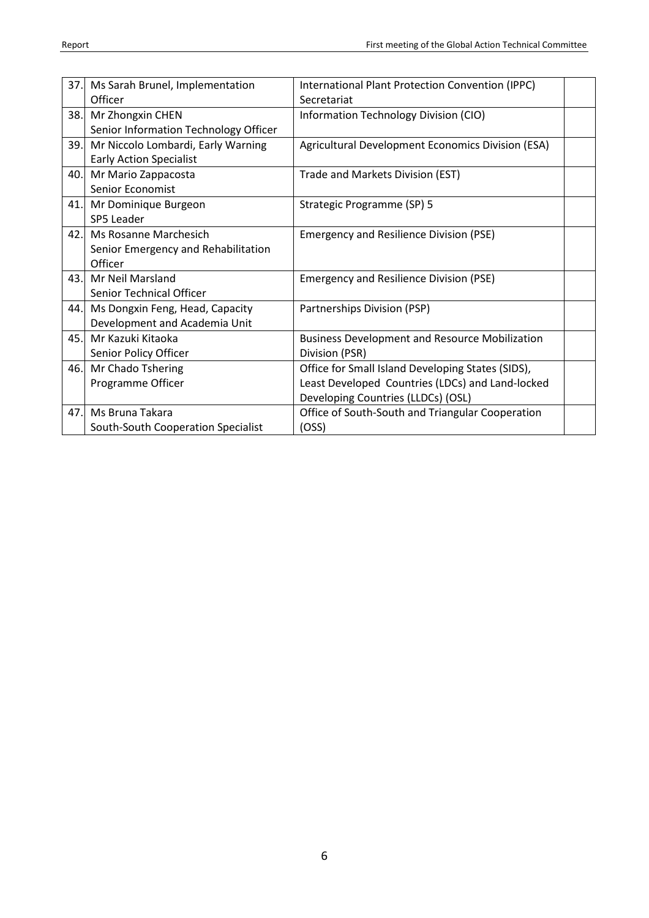|     | 37. Ms Sarah Brunel, Implementation   | International Plant Protection Convention (IPPC)      |  |
|-----|---------------------------------------|-------------------------------------------------------|--|
|     | Officer                               | Secretariat                                           |  |
| 38. | Mr Zhongxin CHEN                      | Information Technology Division (CIO)                 |  |
|     | Senior Information Technology Officer |                                                       |  |
| 39. | Mr Niccolo Lombardi, Early Warning    | Agricultural Development Economics Division (ESA)     |  |
|     | <b>Early Action Specialist</b>        |                                                       |  |
| 40. | Mr Mario Zappacosta                   | Trade and Markets Division (EST)                      |  |
|     | Senior Economist                      |                                                       |  |
|     | 41. Mr Dominique Burgeon              | Strategic Programme (SP) 5                            |  |
|     | SP5 Leader                            |                                                       |  |
|     | 42. Ms Rosanne Marchesich             | <b>Emergency and Resilience Division (PSE)</b>        |  |
|     | Senior Emergency and Rehabilitation   |                                                       |  |
|     | Officer                               |                                                       |  |
| 43. | <b>Mr Neil Marsland</b>               | <b>Emergency and Resilience Division (PSE)</b>        |  |
|     | <b>Senior Technical Officer</b>       |                                                       |  |
| 44. | Ms Dongxin Feng, Head, Capacity       | Partnerships Division (PSP)                           |  |
|     | Development and Academia Unit         |                                                       |  |
| 45. | Mr Kazuki Kitaoka                     | <b>Business Development and Resource Mobilization</b> |  |
|     | Senior Policy Officer                 | Division (PSR)                                        |  |
| 46. | Mr Chado Tshering                     | Office for Small Island Developing States (SIDS),     |  |
|     | Programme Officer                     | Least Developed Countries (LDCs) and Land-locked      |  |
|     |                                       | Developing Countries (LLDCs) (OSL)                    |  |
| 47. | Ms Bruna Takara                       | Office of South-South and Triangular Cooperation      |  |
|     | South-South Cooperation Specialist    | (OSS)                                                 |  |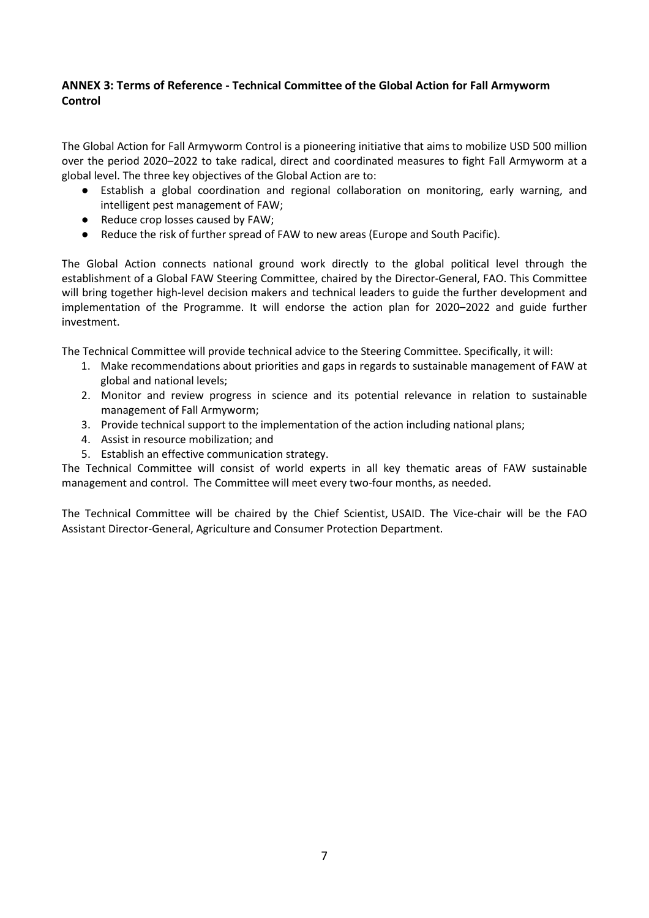### **ANNEX 3: Terms of Reference - Technical Committee of the Global Action for Fall Armyworm Control**

The Global Action for Fall Armyworm Control is a pioneering initiative that aims to mobilize USD 500 million over the period 2020–2022 to take radical, direct and coordinated measures to fight Fall Armyworm at a global level. The three key objectives of the Global Action are to:

- Establish a global coordination and regional collaboration on monitoring, early warning, and intelligent pest management of FAW;
- Reduce crop losses caused by FAW;
- Reduce the risk of further spread of FAW to new areas (Europe and South Pacific).

The Global Action connects national ground work directly to the global political level through the establishment of a Global FAW Steering Committee, chaired by the Director-General, FAO. This Committee will bring together high-level decision makers and technical leaders to guide the further development and implementation of the Programme. It will endorse the action plan for 2020–2022 and guide further investment.

The Technical Committee will provide technical advice to the Steering Committee. Specifically, it will:

- 1. Make recommendations about priorities and gaps in regards to sustainable management of FAW at global and national levels;
- 2. Monitor and review progress in science and its potential relevance in relation to sustainable management of Fall Armyworm;
- 3. Provide technical support to the implementation of the action including national plans;
- 4. Assist in resource mobilization; and
- 5. Establish an effective communication strategy.

The Technical Committee will consist of world experts in all key thematic areas of FAW sustainable management and control. The Committee will meet every two-four months, as needed.

The Technical Committee will be chaired by the Chief Scientist, USAID. The Vice-chair will be the FAO Assistant Director-General, Agriculture and Consumer Protection Department.